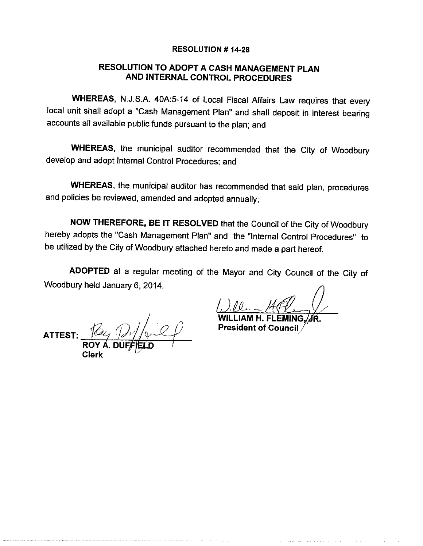#### **RESOLUTION #14-28**

# RESOLUTION TO ADOPT A CASH MANAGEMENT PLAN AND INTERNAL CONTROL PROCEDURES

WHEREAS, N.J.S.A. 40A:5-14 of Local Fiscal Affairs Law requires that every local unit shall adopt a "Cash Management Plan" and shall deposit in interest bearing accounts all available public funds pursuant to the plan; and

WHEREAS, the municipal auditor recommended that the City of Woodbury develop and adopt Internal Control Procedures; and

WHEREAS, the municipal auditor has recommended that said plan, procedures and policies be reviewed, amended and adopted annually;

NOW THEREFORE, BE IT RESOLVED that the Council of the City of Woodbury hereby adopts the "Cash Management Plan" and the "Internal Control Procedures" to be utilized by the City of Woodbury attached hereto and made a part hereof.

ADOPTED at a regular meeting of the Mayor and City Council of the City of Woodbury held January 6, 2014.

**ATTEST** 

**President of Council**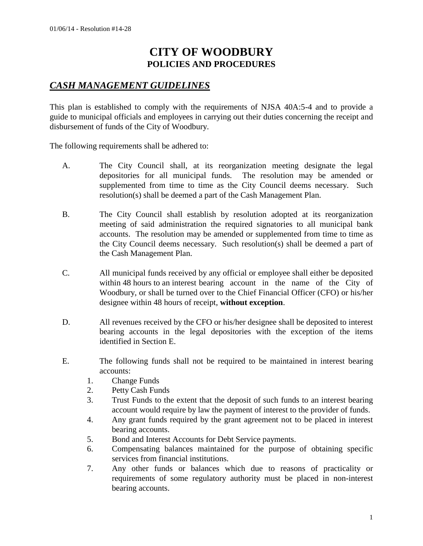# **CITY OF WOODBURY POLICIES AND PROCEDURES**

# *CASH MANAGEMENT GUIDELINES*

This plan is established to comply with the requirements of NJSA 40A:5-4 and to provide a guide to municipal officials and employees in carrying out their duties concerning the receipt and disbursement of funds of the City of Woodbury.

The following requirements shall be adhered to:

- A. The City Council shall, at its reorganization meeting designate the legal depositories for all municipal funds. The resolution may be amended or supplemented from time to time as the City Council deems necessary. Such resolution(s) shall be deemed a part of the Cash Management Plan.
- B. The City Council shall establish by resolution adopted at its reorganization meeting of said administration the required signatories to all municipal bank accounts. The resolution may be amended or supplemented from time to time as the City Council deems necessary. Such resolution(s) shall be deemed a part of the Cash Management Plan.
- C. All municipal funds received by any official or employee shall either be deposited within 48 hours to an interest bearing account in the name of the City of Woodbury, or shall be turned over to the Chief Financial Officer (CFO) or his/her designee within 48 hours of receipt, **without exception**.
- D. All revenues received by the CFO or his/her designee shall be deposited to interest bearing accounts in the legal depositories with the exception of the items identified in Section E.
- E. The following funds shall not be required to be maintained in interest bearing accounts:
	- 1. Change Funds
	- 2. Petty Cash Funds
	- 3. Trust Funds to the extent that the deposit of such funds to an interest bearing account would require by law the payment of interest to the provider of funds.
	- 4. Any grant funds required by the grant agreement not to be placed in interest bearing accounts.
	- 5. Bond and Interest Accounts for Debt Service payments.
	- 6. Compensating balances maintained for the purpose of obtaining specific services from financial institutions.
	- 7. Any other funds or balances which due to reasons of practicality or requirements of some regulatory authority must be placed in non-interest bearing accounts.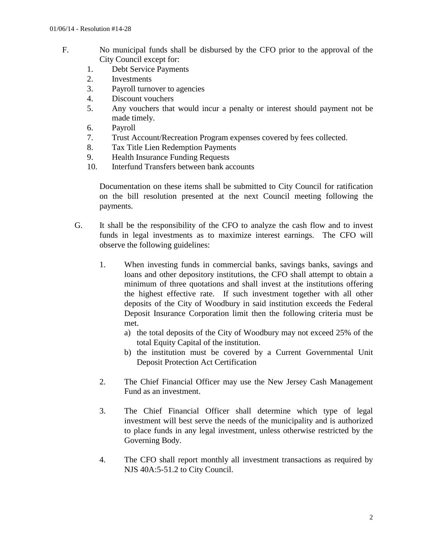- F. No municipal funds shall be disbursed by the CFO prior to the approval of the City Council except for:
	- 1. Debt Service Payments
	- 2. Investments
	- 3. Payroll turnover to agencies
	- 4. Discount vouchers
	- 5. Any vouchers that would incur a penalty or interest should payment not be made timely.
	- 6. Payroll
	- 7. Trust Account/Recreation Program expenses covered by fees collected.
	- 8. Tax Title Lien Redemption Payments
	- 9. Health Insurance Funding Requests
	- 10. Interfund Transfers between bank accounts

Documentation on these items shall be submitted to City Council for ratification on the bill resolution presented at the next Council meeting following the payments.

- G. It shall be the responsibility of the CFO to analyze the cash flow and to invest funds in legal investments as to maximize interest earnings. The CFO will observe the following guidelines:
	- 1. When investing funds in commercial banks, savings banks, savings and loans and other depository institutions, the CFO shall attempt to obtain a minimum of three quotations and shall invest at the institutions offering the highest effective rate. If such investment together with all other deposits of the City of Woodbury in said institution exceeds the Federal Deposit Insurance Corporation limit then the following criteria must be met.
		- a) the total deposits of the City of Woodbury may not exceed 25% of the total Equity Capital of the institution.
		- b) the institution must be covered by a Current Governmental Unit Deposit Protection Act Certification
	- 2. The Chief Financial Officer may use the New Jersey Cash Management Fund as an investment.
	- 3. The Chief Financial Officer shall determine which type of legal investment will best serve the needs of the municipality and is authorized to place funds in any legal investment, unless otherwise restricted by the Governing Body.
	- 4. The CFO shall report monthly all investment transactions as required by NJS 40A:5-51.2 to City Council.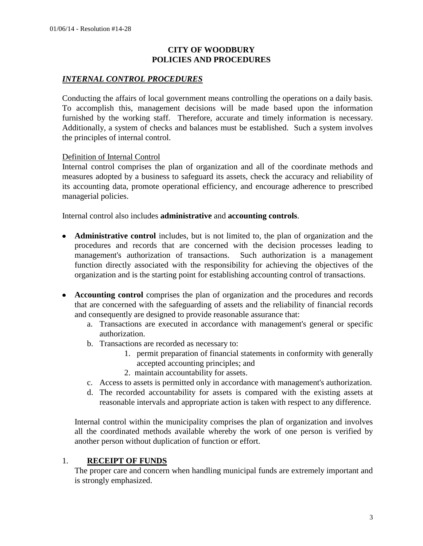#### **CITY OF WOODBURY POLICIES AND PROCEDURES**

#### *INTERNAL CONTROL PROCEDURES*

Conducting the affairs of local government means controlling the operations on a daily basis. To accomplish this, management decisions will be made based upon the information furnished by the working staff. Therefore, accurate and timely information is necessary. Additionally, a system of checks and balances must be established. Such a system involves the principles of internal control.

#### Definition of Internal Control

Internal control comprises the plan of organization and all of the coordinate methods and measures adopted by a business to safeguard its assets, check the accuracy and reliability of its accounting data, promote operational efficiency, and encourage adherence to prescribed managerial policies.

Internal control also includes **administrative** and **accounting controls**.

- **Administrative control** includes, but is not limited to, the plan of organization and the procedures and records that are concerned with the decision processes leading to management's authorization of transactions. Such authorization is a management function directly associated with the responsibility for achieving the objectives of the organization and is the starting point for establishing accounting control of transactions.
- **Accounting control** comprises the plan of organization and the procedures and records that are concerned with the safeguarding of assets and the reliability of financial records and consequently are designed to provide reasonable assurance that:
	- a. Transactions are executed in accordance with management's general or specific authorization.
	- b. Transactions are recorded as necessary to:
		- 1. permit preparation of financial statements in conformity with generally accepted accounting principles; and
		- 2. maintain accountability for assets.
	- c. Access to assets is permitted only in accordance with management's authorization.
	- d. The recorded accountability for assets is compared with the existing assets at reasonable intervals and appropriate action is taken with respect to any difference.

Internal control within the municipality comprises the plan of organization and involves all the coordinated methods available whereby the work of one person is verified by another person without duplication of function or effort.

#### 1. **RECEIPT OF FUNDS**

The proper care and concern when handling municipal funds are extremely important and is strongly emphasized.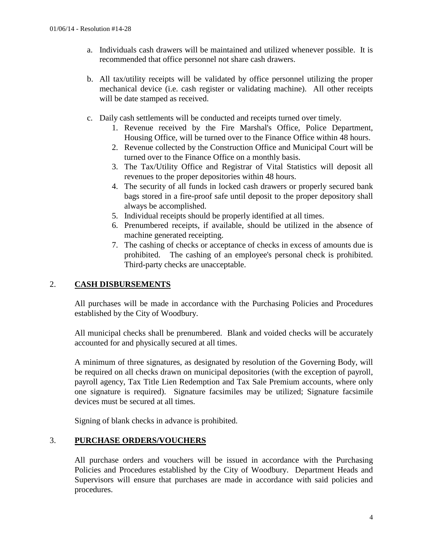- a. Individuals cash drawers will be maintained and utilized whenever possible. It is recommended that office personnel not share cash drawers.
- b. All tax/utility receipts will be validated by office personnel utilizing the proper mechanical device (i.e. cash register or validating machine). All other receipts will be date stamped as received.
- c. Daily cash settlements will be conducted and receipts turned over timely.
	- 1. Revenue received by the Fire Marshal's Office, Police Department, Housing Office, will be turned over to the Finance Office within 48 hours.
	- 2. Revenue collected by the Construction Office and Municipal Court will be turned over to the Finance Office on a monthly basis.
	- 3. The Tax/Utility Office and Registrar of Vital Statistics will deposit all revenues to the proper depositories within 48 hours.
	- 4. The security of all funds in locked cash drawers or properly secured bank bags stored in a fire-proof safe until deposit to the proper depository shall always be accomplished.
	- 5. Individual receipts should be properly identified at all times.
	- 6. Prenumbered receipts, if available, should be utilized in the absence of machine generated receipting.
	- 7. The cashing of checks or acceptance of checks in excess of amounts due is prohibited. The cashing of an employee's personal check is prohibited. Third-party checks are unacceptable.

## 2. **CASH DISBURSEMENTS**

All purchases will be made in accordance with the Purchasing Policies and Procedures established by the City of Woodbury.

All municipal checks shall be prenumbered. Blank and voided checks will be accurately accounted for and physically secured at all times.

A minimum of three signatures, as designated by resolution of the Governing Body, will be required on all checks drawn on municipal depositories (with the exception of payroll, payroll agency, Tax Title Lien Redemption and Tax Sale Premium accounts, where only one signature is required). Signature facsimiles may be utilized; Signature facsimile devices must be secured at all times.

Signing of blank checks in advance is prohibited.

## 3. **PURCHASE ORDERS/VOUCHERS**

All purchase orders and vouchers will be issued in accordance with the Purchasing Policies and Procedures established by the City of Woodbury. Department Heads and Supervisors will ensure that purchases are made in accordance with said policies and procedures.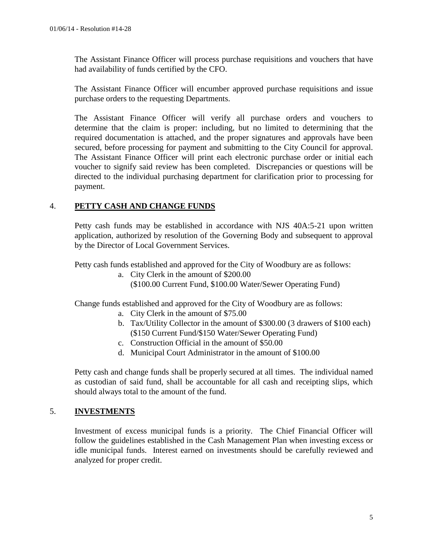The Assistant Finance Officer will process purchase requisitions and vouchers that have had availability of funds certified by the CFO.

The Assistant Finance Officer will encumber approved purchase requisitions and issue purchase orders to the requesting Departments.

The Assistant Finance Officer will verify all purchase orders and vouchers to determine that the claim is proper: including, but no limited to determining that the required documentation is attached, and the proper signatures and approvals have been secured, before processing for payment and submitting to the City Council for approval. The Assistant Finance Officer will print each electronic purchase order or initial each voucher to signify said review has been completed. Discrepancies or questions will be directed to the individual purchasing department for clarification prior to processing for payment.

## 4. **PETTY CASH AND CHANGE FUNDS**

Petty cash funds may be established in accordance with NJS 40A:5-21 upon written application, authorized by resolution of the Governing Body and subsequent to approval by the Director of Local Government Services.

Petty cash funds established and approved for the City of Woodbury are as follows:

a. City Clerk in the amount of \$200.00 (\$100.00 Current Fund, \$100.00 Water/Sewer Operating Fund)

Change funds established and approved for the City of Woodbury are as follows:

- a. City Clerk in the amount of \$75.00
- b. Tax/Utility Collector in the amount of \$300.00 (3 drawers of \$100 each) (\$150 Current Fund/\$150 Water/Sewer Operating Fund)
- c. Construction Official in the amount of \$50.00
- d. Municipal Court Administrator in the amount of \$100.00

Petty cash and change funds shall be properly secured at all times. The individual named as custodian of said fund, shall be accountable for all cash and receipting slips, which should always total to the amount of the fund.

## 5. **INVESTMENTS**

Investment of excess municipal funds is a priority. The Chief Financial Officer will follow the guidelines established in the Cash Management Plan when investing excess or idle municipal funds. Interest earned on investments should be carefully reviewed and analyzed for proper credit.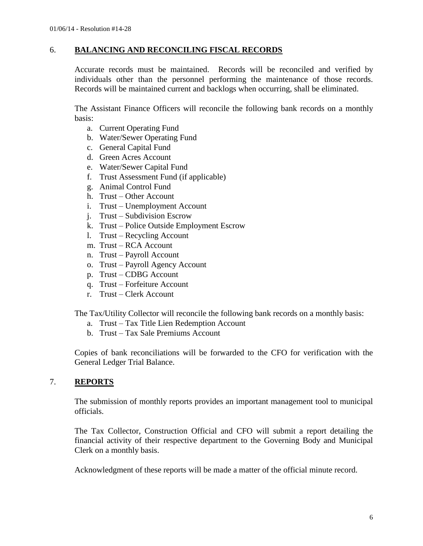#### 6. **BALANCING AND RECONCILING FISCAL RECORDS**

Accurate records must be maintained. Records will be reconciled and verified by individuals other than the personnel performing the maintenance of those records. Records will be maintained current and backlogs when occurring, shall be eliminated.

The Assistant Finance Officers will reconcile the following bank records on a monthly basis:

- a. Current Operating Fund
- b. Water/Sewer Operating Fund
- c. General Capital Fund
- d. Green Acres Account
- e. Water/Sewer Capital Fund
- f. Trust Assessment Fund (if applicable)
- g. Animal Control Fund
- h. Trust Other Account
- i. Trust Unemployment Account
- j. Trust Subdivision Escrow
- k. Trust Police Outside Employment Escrow
- l. Trust Recycling Account
- m. Trust RCA Account
- n. Trust Payroll Account
- o. Trust Payroll Agency Account
- p. Trust CDBG Account
- q. Trust Forfeiture Account
- r. Trust Clerk Account

The Tax/Utility Collector will reconcile the following bank records on a monthly basis:

- a. Trust Tax Title Lien Redemption Account
- b. Trust Tax Sale Premiums Account

Copies of bank reconciliations will be forwarded to the CFO for verification with the General Ledger Trial Balance.

## 7. **REPORTS**

The submission of monthly reports provides an important management tool to municipal officials.

The Tax Collector, Construction Official and CFO will submit a report detailing the financial activity of their respective department to the Governing Body and Municipal Clerk on a monthly basis.

Acknowledgment of these reports will be made a matter of the official minute record.